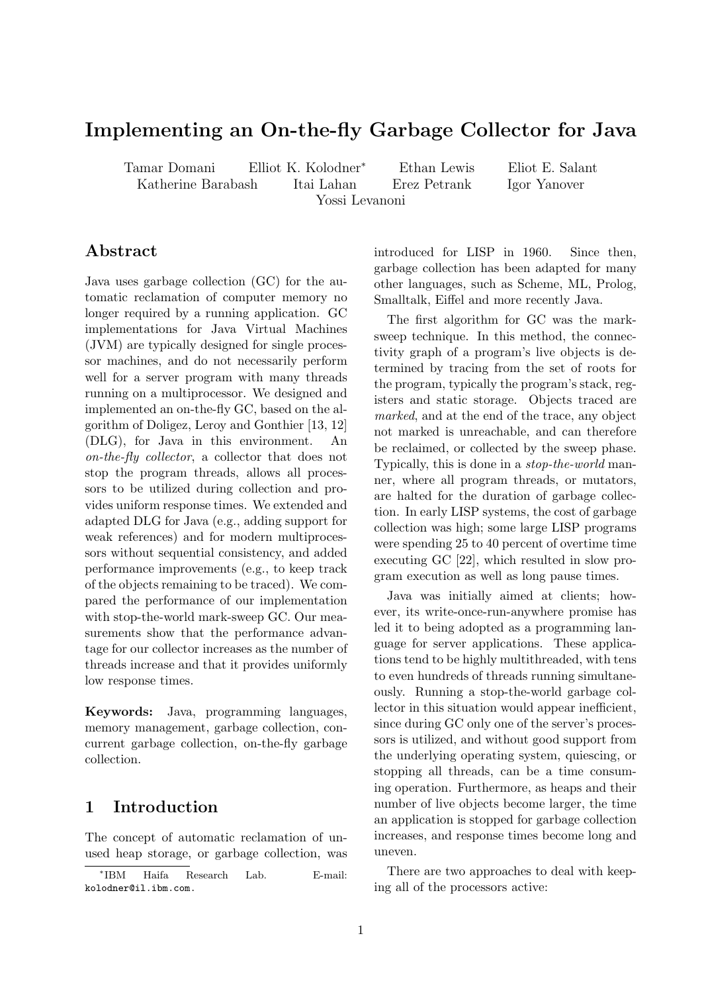# Implementing an On-the-fly Garbage Collector for Java

Tamar Domani Elliot K. Kolodner<sup>∗</sup> Ethan Lewis Eliot E. Salant Katherine Barabash Itai Lahan Erez Petrank Igor Yanover

Yossi Levanoni

## Abstract

Java uses garbage collection (GC) for the automatic reclamation of computer memory no longer required by a running application. GC implementations for Java Virtual Machines (JVM) are typically designed for single processor machines, and do not necessarily perform well for a server program with many threads running on a multiprocessor. We designed and implemented an on-the-fly GC, based on the algorithm of Doligez, Leroy and Gonthier [13, 12] (DLG), for Java in this environment. An on-the-fly collector, a collector that does not stop the program threads, allows all processors to be utilized during collection and provides uniform response times. We extended and adapted DLG for Java (e.g., adding support for weak references) and for modern multiprocessors without sequential consistency, and added performance improvements (e.g., to keep track of the objects remaining to be traced). We compared the performance of our implementation with stop-the-world mark-sweep GC. Our measurements show that the performance advantage for our collector increases as the number of threads increase and that it provides uniformly low response times.

Keywords: Java, programming languages, memory management, garbage collection, concurrent garbage collection, on-the-fly garbage collection.

## 1 Introduction

The concept of automatic reclamation of unused heap storage, or garbage collection, was introduced for LISP in 1960. Since then, garbage collection has been adapted for many other languages, such as Scheme, ML, Prolog, Smalltalk, Eiffel and more recently Java.

The first algorithm for GC was the marksweep technique. In this method, the connectivity graph of a program's live objects is determined by tracing from the set of roots for the program, typically the program's stack, registers and static storage. Objects traced are marked, and at the end of the trace, any object not marked is unreachable, and can therefore be reclaimed, or collected by the sweep phase. Typically, this is done in a stop-the-world manner, where all program threads, or mutators, are halted for the duration of garbage collection. In early LISP systems, the cost of garbage collection was high; some large LISP programs were spending 25 to 40 percent of overtime time executing GC [22], which resulted in slow program execution as well as long pause times.

Java was initially aimed at clients; however, its write-once-run-anywhere promise has led it to being adopted as a programming language for server applications. These applications tend to be highly multithreaded, with tens to even hundreds of threads running simultaneously. Running a stop-the-world garbage collector in this situation would appear inefficient, since during GC only one of the server's processors is utilized, and without good support from the underlying operating system, quiescing, or stopping all threads, can be a time consuming operation. Furthermore, as heaps and their number of live objects become larger, the time an application is stopped for garbage collection increases, and response times become long and uneven.

There are two approaches to deal with keeping all of the processors active:

<sup>∗</sup> Haifa Research Lab. E-mail: kolodner@il.ibm.com.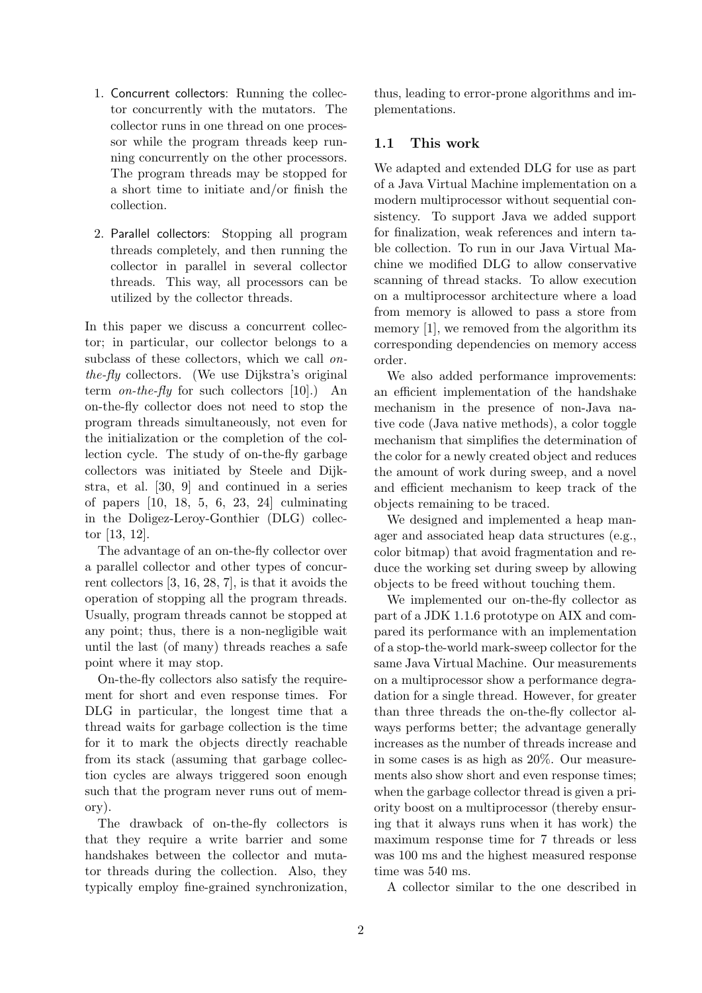- 1. Concurrent collectors: Running the collector concurrently with the mutators. The collector runs in one thread on one processor while the program threads keep running concurrently on the other processors. The program threads may be stopped for a short time to initiate and/or finish the collection.
- 2. Parallel collectors: Stopping all program threads completely, and then running the collector in parallel in several collector threads. This way, all processors can be utilized by the collector threads.

In this paper we discuss a concurrent collector; in particular, our collector belongs to a subclass of these collectors, which we call onthe-fly collectors. (We use Dijkstra's original term *on-the-fly* for such collectors  $[10]$ .) An on-the-fly collector does not need to stop the program threads simultaneously, not even for the initialization or the completion of the collection cycle. The study of on-the-fly garbage collectors was initiated by Steele and Dijkstra, et al. [30, 9] and continued in a series of papers [10, 18, 5, 6, 23, 24] culminating in the Doligez-Leroy-Gonthier (DLG) collector [13, 12].

The advantage of an on-the-fly collector over a parallel collector and other types of concurrent collectors [3, 16, 28, 7], is that it avoids the operation of stopping all the program threads. Usually, program threads cannot be stopped at any point; thus, there is a non-negligible wait until the last (of many) threads reaches a safe point where it may stop.

On-the-fly collectors also satisfy the requirement for short and even response times. For DLG in particular, the longest time that a thread waits for garbage collection is the time for it to mark the objects directly reachable from its stack (assuming that garbage collection cycles are always triggered soon enough such that the program never runs out of memory).

The drawback of on-the-fly collectors is that they require a write barrier and some handshakes between the collector and mutator threads during the collection. Also, they typically employ fine-grained synchronization, thus, leading to error-prone algorithms and implementations.

### 1.1 This work

We adapted and extended DLG for use as part of a Java Virtual Machine implementation on a modern multiprocessor without sequential consistency. To support Java we added support for finalization, weak references and intern table collection. To run in our Java Virtual Machine we modified DLG to allow conservative scanning of thread stacks. To allow execution on a multiprocessor architecture where a load from memory is allowed to pass a store from memory [1], we removed from the algorithm its corresponding dependencies on memory access order.

We also added performance improvements: an efficient implementation of the handshake mechanism in the presence of non-Java native code (Java native methods), a color toggle mechanism that simplifies the determination of the color for a newly created object and reduces the amount of work during sweep, and a novel and efficient mechanism to keep track of the objects remaining to be traced.

We designed and implemented a heap manager and associated heap data structures (e.g., color bitmap) that avoid fragmentation and reduce the working set during sweep by allowing objects to be freed without touching them.

We implemented our on-the-fly collector as part of a JDK 1.1.6 prototype on AIX and compared its performance with an implementation of a stop-the-world mark-sweep collector for the same Java Virtual Machine. Our measurements on a multiprocessor show a performance degradation for a single thread. However, for greater than three threads the on-the-fly collector always performs better; the advantage generally increases as the number of threads increase and in some cases is as high as 20%. Our measurements also show short and even response times; when the garbage collector thread is given a priority boost on a multiprocessor (thereby ensuring that it always runs when it has work) the maximum response time for 7 threads or less was 100 ms and the highest measured response time was 540 ms.

A collector similar to the one described in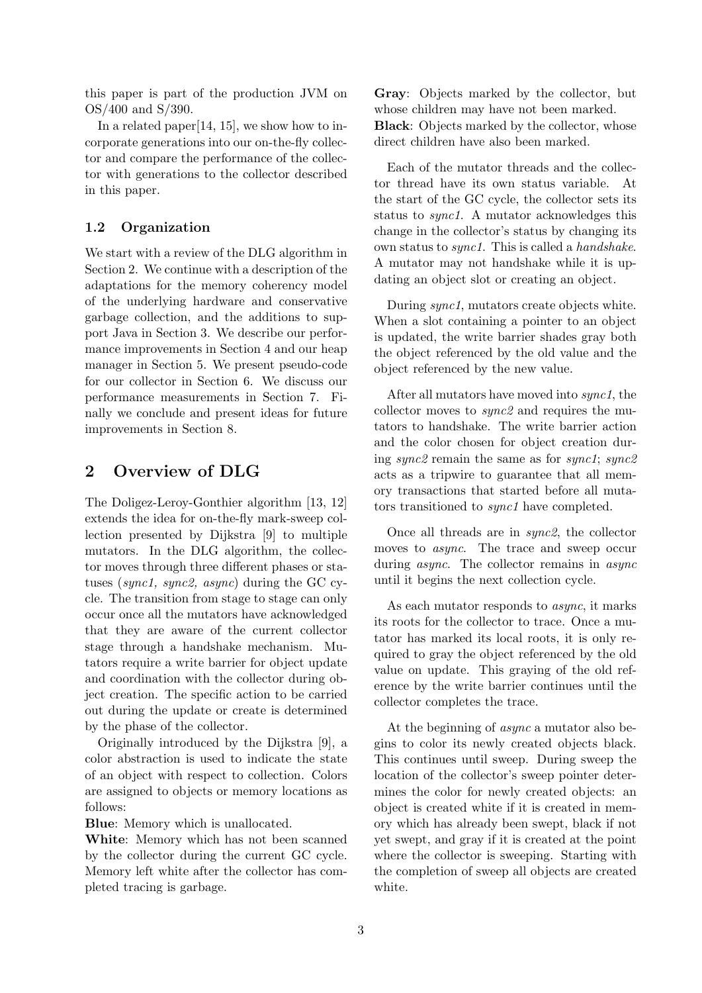this paper is part of the production JVM on OS/400 and S/390.

In a related paper[14, 15], we show how to incorporate generations into our on-the-fly collector and compare the performance of the collector with generations to the collector described in this paper.

### 1.2 Organization

We start with a review of the DLG algorithm in Section 2. We continue with a description of the adaptations for the memory coherency model of the underlying hardware and conservative garbage collection, and the additions to support Java in Section 3. We describe our performance improvements in Section 4 and our heap manager in Section 5. We present pseudo-code for our collector in Section 6. We discuss our performance measurements in Section 7. Finally we conclude and present ideas for future improvements in Section 8.

# 2 Overview of DLG

The Doligez-Leroy-Gonthier algorithm [13, 12] extends the idea for on-the-fly mark-sweep collection presented by Dijkstra [9] to multiple mutators. In the DLG algorithm, the collector moves through three different phases or statuses (sync1, sync2, async) during the GC cycle. The transition from stage to stage can only occur once all the mutators have acknowledged that they are aware of the current collector stage through a handshake mechanism. Mutators require a write barrier for object update and coordination with the collector during object creation. The specific action to be carried out during the update or create is determined by the phase of the collector.

Originally introduced by the Dijkstra [9], a color abstraction is used to indicate the state of an object with respect to collection. Colors are assigned to objects or memory locations as follows:

Blue: Memory which is unallocated.

White: Memory which has not been scanned by the collector during the current GC cycle. Memory left white after the collector has completed tracing is garbage.

Gray: Objects marked by the collector, but whose children may have not been marked. Black: Objects marked by the collector, whose direct children have also been marked.

Each of the mutator threads and the collector thread have its own status variable. At the start of the GC cycle, the collector sets its status to sync1. A mutator acknowledges this change in the collector's status by changing its own status to sync1. This is called a handshake. A mutator may not handshake while it is updating an object slot or creating an object.

During sync1, mutators create objects white. When a slot containing a pointer to an object is updated, the write barrier shades gray both the object referenced by the old value and the object referenced by the new value.

After all mutators have moved into sync1, the collector moves to sync2 and requires the mutators to handshake. The write barrier action and the color chosen for object creation during sync2 remain the same as for sync1; sync2 acts as a tripwire to guarantee that all memory transactions that started before all mutators transitioned to *sync1* have completed.

Once all threads are in sync2, the collector moves to *async*. The trace and sweep occur during *async*. The collector remains in *async* until it begins the next collection cycle.

As each mutator responds to *async*, it marks its roots for the collector to trace. Once a mutator has marked its local roots, it is only required to gray the object referenced by the old value on update. This graying of the old reference by the write barrier continues until the collector completes the trace.

At the beginning of async a mutator also begins to color its newly created objects black. This continues until sweep. During sweep the location of the collector's sweep pointer determines the color for newly created objects: an object is created white if it is created in memory which has already been swept, black if not yet swept, and gray if it is created at the point where the collector is sweeping. Starting with the completion of sweep all objects are created white.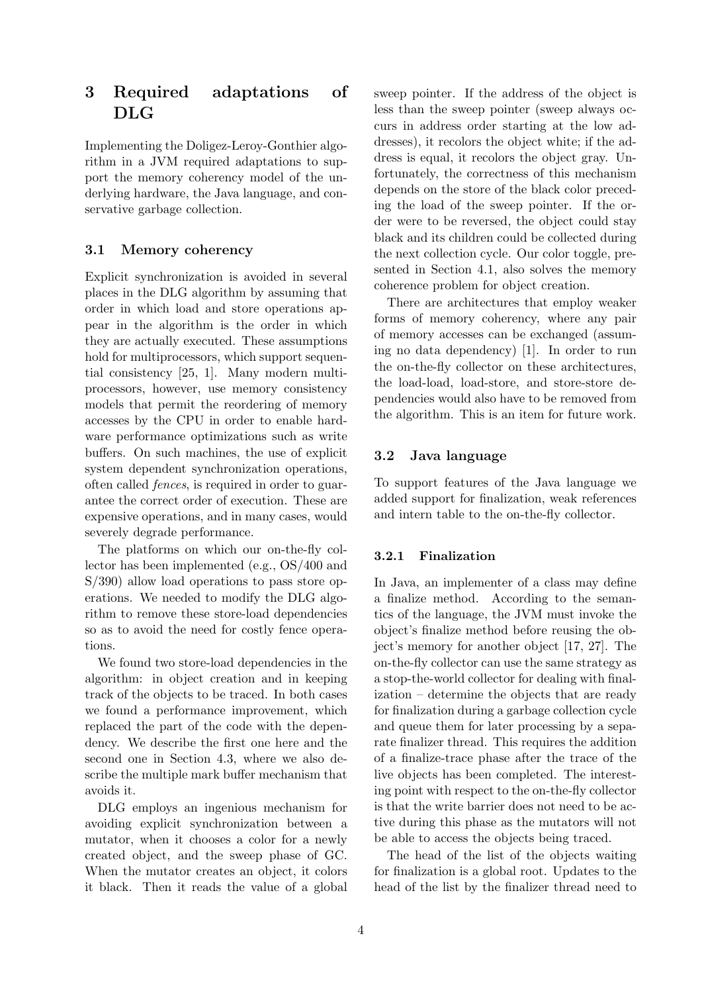# 3 Required adaptations of DLG

Implementing the Doligez-Leroy-Gonthier algorithm in a JVM required adaptations to support the memory coherency model of the underlying hardware, the Java language, and conservative garbage collection.

### 3.1 Memory coherency

Explicit synchronization is avoided in several places in the DLG algorithm by assuming that order in which load and store operations appear in the algorithm is the order in which they are actually executed. These assumptions hold for multiprocessors, which support sequential consistency [25, 1]. Many modern multiprocessors, however, use memory consistency models that permit the reordering of memory accesses by the CPU in order to enable hardware performance optimizations such as write buffers. On such machines, the use of explicit system dependent synchronization operations, often called fences, is required in order to guarantee the correct order of execution. These are expensive operations, and in many cases, would severely degrade performance.

The platforms on which our on-the-fly collector has been implemented (e.g., OS/400 and S/390) allow load operations to pass store operations. We needed to modify the DLG algorithm to remove these store-load dependencies so as to avoid the need for costly fence operations.

We found two store-load dependencies in the algorithm: in object creation and in keeping track of the objects to be traced. In both cases we found a performance improvement, which replaced the part of the code with the dependency. We describe the first one here and the second one in Section 4.3, where we also describe the multiple mark buffer mechanism that avoids it.

DLG employs an ingenious mechanism for avoiding explicit synchronization between a mutator, when it chooses a color for a newly created object, and the sweep phase of GC. When the mutator creates an object, it colors it black. Then it reads the value of a global sweep pointer. If the address of the object is less than the sweep pointer (sweep always occurs in address order starting at the low addresses), it recolors the object white; if the address is equal, it recolors the object gray. Unfortunately, the correctness of this mechanism depends on the store of the black color preceding the load of the sweep pointer. If the order were to be reversed, the object could stay black and its children could be collected during the next collection cycle. Our color toggle, presented in Section 4.1, also solves the memory coherence problem for object creation.

There are architectures that employ weaker forms of memory coherency, where any pair of memory accesses can be exchanged (assuming no data dependency) [1]. In order to run the on-the-fly collector on these architectures, the load-load, load-store, and store-store dependencies would also have to be removed from the algorithm. This is an item for future work.

### 3.2 Java language

To support features of the Java language we added support for finalization, weak references and intern table to the on-the-fly collector.

#### 3.2.1 Finalization

In Java, an implementer of a class may define a finalize method. According to the semantics of the language, the JVM must invoke the object's finalize method before reusing the object's memory for another object [17, 27]. The on-the-fly collector can use the same strategy as a stop-the-world collector for dealing with finalization – determine the objects that are ready for finalization during a garbage collection cycle and queue them for later processing by a separate finalizer thread. This requires the addition of a finalize-trace phase after the trace of the live objects has been completed. The interesting point with respect to the on-the-fly collector is that the write barrier does not need to be active during this phase as the mutators will not be able to access the objects being traced.

The head of the list of the objects waiting for finalization is a global root. Updates to the head of the list by the finalizer thread need to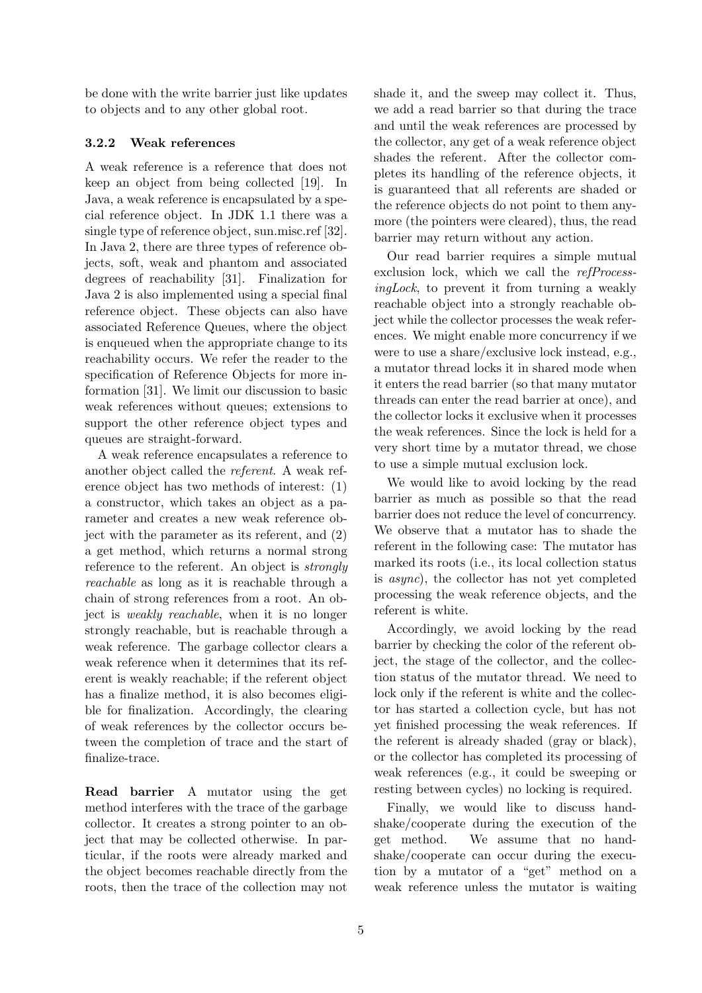be done with the write barrier just like updates to objects and to any other global root.

### 3.2.2 Weak references

A weak reference is a reference that does not keep an object from being collected [19]. In Java, a weak reference is encapsulated by a special reference object. In JDK 1.1 there was a single type of reference object, sun.misc.ref [32]. In Java 2, there are three types of reference objects, soft, weak and phantom and associated degrees of reachability [31]. Finalization for Java 2 is also implemented using a special final reference object. These objects can also have associated Reference Queues, where the object is enqueued when the appropriate change to its reachability occurs. We refer the reader to the specification of Reference Objects for more information [31]. We limit our discussion to basic weak references without queues; extensions to support the other reference object types and queues are straight-forward.

A weak reference encapsulates a reference to another object called the referent. A weak reference object has two methods of interest: (1) a constructor, which takes an object as a parameter and creates a new weak reference object with the parameter as its referent, and (2) a get method, which returns a normal strong reference to the referent. An object is strongly reachable as long as it is reachable through a chain of strong references from a root. An object is weakly reachable, when it is no longer strongly reachable, but is reachable through a weak reference. The garbage collector clears a weak reference when it determines that its referent is weakly reachable; if the referent object has a finalize method, it is also becomes eligible for finalization. Accordingly, the clearing of weak references by the collector occurs between the completion of trace and the start of finalize-trace.

Read barrier A mutator using the get method interferes with the trace of the garbage collector. It creates a strong pointer to an object that may be collected otherwise. In particular, if the roots were already marked and the object becomes reachable directly from the roots, then the trace of the collection may not shade it, and the sweep may collect it. Thus, we add a read barrier so that during the trace and until the weak references are processed by the collector, any get of a weak reference object shades the referent. After the collector completes its handling of the reference objects, it is guaranteed that all referents are shaded or the reference objects do not point to them anymore (the pointers were cleared), thus, the read barrier may return without any action.

Our read barrier requires a simple mutual exclusion lock, which we call the refProcessingLock, to prevent it from turning a weakly reachable object into a strongly reachable object while the collector processes the weak references. We might enable more concurrency if we were to use a share/exclusive lock instead, e.g., a mutator thread locks it in shared mode when it enters the read barrier (so that many mutator threads can enter the read barrier at once), and the collector locks it exclusive when it processes the weak references. Since the lock is held for a very short time by a mutator thread, we chose to use a simple mutual exclusion lock.

We would like to avoid locking by the read barrier as much as possible so that the read barrier does not reduce the level of concurrency. We observe that a mutator has to shade the referent in the following case: The mutator has marked its roots (i.e., its local collection status is async), the collector has not yet completed processing the weak reference objects, and the referent is white.

Accordingly, we avoid locking by the read barrier by checking the color of the referent object, the stage of the collector, and the collection status of the mutator thread. We need to lock only if the referent is white and the collector has started a collection cycle, but has not yet finished processing the weak references. If the referent is already shaded (gray or black), or the collector has completed its processing of weak references (e.g., it could be sweeping or resting between cycles) no locking is required.

Finally, we would like to discuss handshake/cooperate during the execution of the get method. We assume that no handshake/cooperate can occur during the execution by a mutator of a "get" method on a weak reference unless the mutator is waiting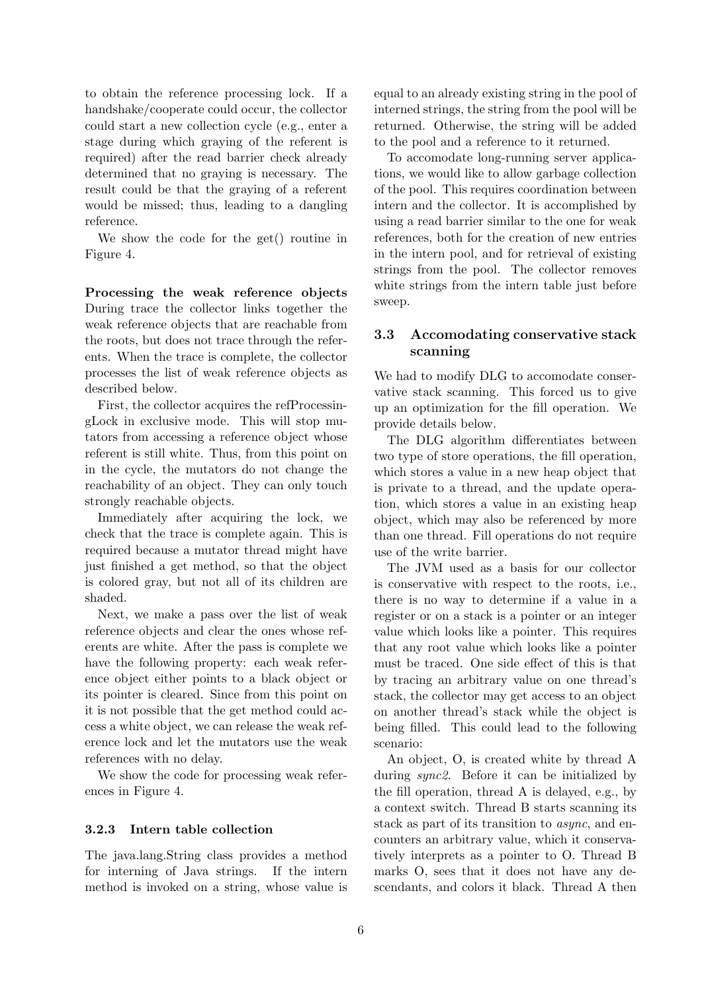to obtain the reference processing lock. If a handshake/cooperate could occur, the collector could start a new collection cycle (e.g., enter a stage during which graying of the referent is required) after the read barrier check already determined that no graying is necessary. The result could be that the graying of a referent would be missed; thus, leading to a dangling reference.

We show the code for the get() routine in Figure 4.

Processing the weak reference objects During trace the collector links together the weak reference objects that are reachable from the roots, but does not trace through the referents. When the trace is complete, the collector processes the list of weak reference objects as described below.

First, the collector acquires the refProcessingLock in exclusive mode. This will stop mutators from accessing a reference object whose referent is still white. Thus, from this point on in the cycle, the mutators do not change the reachability of an object. They can only touch strongly reachable objects.

Immediately after acquiring the lock, we check that the trace is complete again. This is required because a mutator thread might have just finished a get method, so that the object is colored gray, but not all of its children are shaded.

Next, we make a pass over the list of weak reference objects and clear the ones whose referents are white. After the pass is complete we have the following property: each weak reference object either points to a black object or its pointer is cleared. Since from this point on it is not possible that the get method could access a white object, we can release the weak reference lock and let the mutators use the weak references with no delay.

We show the code for processing weak references in Figure 4.

### 3.2.3 Intern table collection

The java.lang.String class provides a method for interning of Java strings. If the intern method is invoked on a string, whose value is equal to an already existing string in the pool of interned strings, the string from the pool will be returned. Otherwise, the string will be added to the pool and a reference to it returned.

To accomodate long-running server applications, we would like to allow garbage collection of the pool. This requires coordination between intern and the collector. It is accomplished by using a read barrier similar to the one for weak references, both for the creation of new entries in the intern pool, and for retrieval of existing strings from the pool. The collector removes white strings from the intern table just before sweep.

## 3.3 Accomodating conservative stack scanning

We had to modify DLG to accomodate conservative stack scanning. This forced us to give up an optimization for the fill operation. We provide details below.

The DLG algorithm differentiates between two type of store operations, the fill operation, which stores a value in a new heap object that is private to a thread, and the update operation, which stores a value in an existing heap object, which may also be referenced by more than one thread. Fill operations do not require use of the write barrier.

The JVM used as a basis for our collector is conservative with respect to the roots, i.e., there is no way to determine if a value in a register or on a stack is a pointer or an integer value which looks like a pointer. This requires that any root value which looks like a pointer must be traced. One side effect of this is that by tracing an arbitrary value on one thread's stack, the collector may get access to an object on another thread's stack while the object is being filled. This could lead to the following scenario:

An object, O, is created white by thread A during sync2. Before it can be initialized by the fill operation, thread A is delayed, e.g., by a context switch. Thread B starts scanning its stack as part of its transition to async, and encounters an arbitrary value, which it conservatively interprets as a pointer to O. Thread B marks O, sees that it does not have any descendants, and colors it black. Thread A then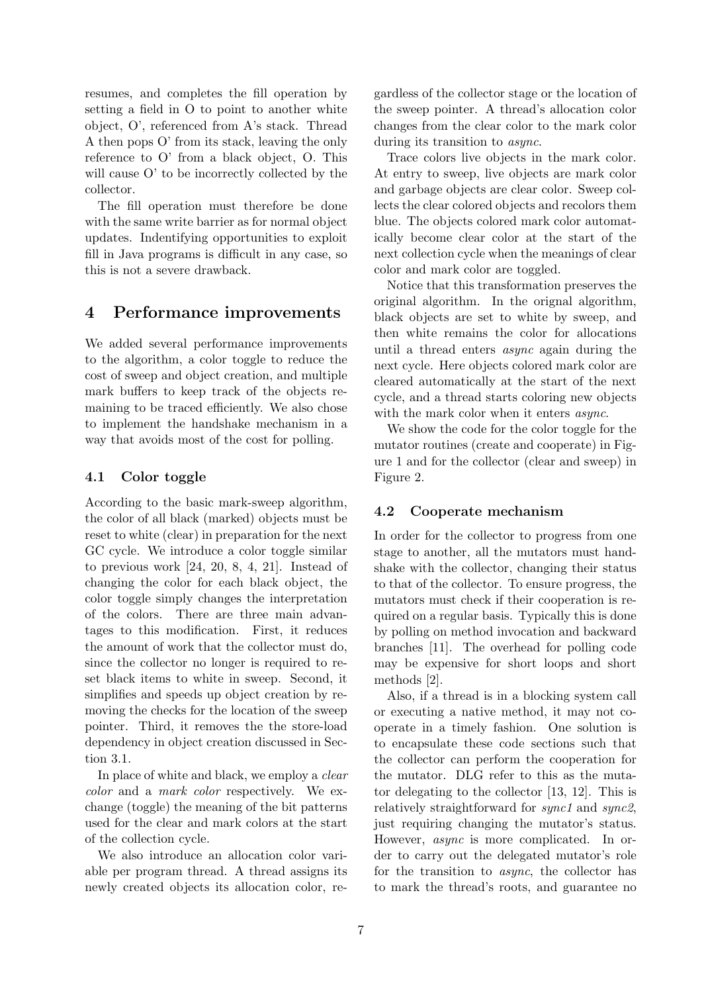resumes, and completes the fill operation by setting a field in O to point to another white object, O', referenced from A's stack. Thread A then pops O' from its stack, leaving the only reference to O' from a black object, O. This will cause O' to be incorrectly collected by the collector.

The fill operation must therefore be done with the same write barrier as for normal object updates. Indentifying opportunities to exploit fill in Java programs is difficult in any case, so this is not a severe drawback.

# 4 Performance improvements

We added several performance improvements to the algorithm, a color toggle to reduce the cost of sweep and object creation, and multiple mark buffers to keep track of the objects remaining to be traced efficiently. We also chose to implement the handshake mechanism in a way that avoids most of the cost for polling.

## 4.1 Color toggle

According to the basic mark-sweep algorithm, the color of all black (marked) objects must be reset to white (clear) in preparation for the next GC cycle. We introduce a color toggle similar to previous work [24, 20, 8, 4, 21]. Instead of changing the color for each black object, the color toggle simply changes the interpretation of the colors. There are three main advantages to this modification. First, it reduces the amount of work that the collector must do, since the collector no longer is required to reset black items to white in sweep. Second, it simplifies and speeds up object creation by removing the checks for the location of the sweep pointer. Third, it removes the the store-load dependency in object creation discussed in Section 3.1.

In place of white and black, we employ a clear color and a mark color respectively. We exchange (toggle) the meaning of the bit patterns used for the clear and mark colors at the start of the collection cycle.

We also introduce an allocation color variable per program thread. A thread assigns its newly created objects its allocation color, regardless of the collector stage or the location of the sweep pointer. A thread's allocation color changes from the clear color to the mark color during its transition to async.

Trace colors live objects in the mark color. At entry to sweep, live objects are mark color and garbage objects are clear color. Sweep collects the clear colored objects and recolors them blue. The objects colored mark color automatically become clear color at the start of the next collection cycle when the meanings of clear color and mark color are toggled.

Notice that this transformation preserves the original algorithm. In the orignal algorithm, black objects are set to white by sweep, and then white remains the color for allocations until a thread enters async again during the next cycle. Here objects colored mark color are cleared automatically at the start of the next cycle, and a thread starts coloring new objects with the mark color when it enters *async*.

We show the code for the color toggle for the mutator routines (create and cooperate) in Figure 1 and for the collector (clear and sweep) in Figure 2.

## 4.2 Cooperate mechanism

In order for the collector to progress from one stage to another, all the mutators must handshake with the collector, changing their status to that of the collector. To ensure progress, the mutators must check if their cooperation is required on a regular basis. Typically this is done by polling on method invocation and backward branches [11]. The overhead for polling code may be expensive for short loops and short methods [2].

Also, if a thread is in a blocking system call or executing a native method, it may not cooperate in a timely fashion. One solution is to encapsulate these code sections such that the collector can perform the cooperation for the mutator. DLG refer to this as the mutator delegating to the collector [13, 12]. This is relatively straightforward for  $sync1$  and  $sync2$ . just requiring changing the mutator's status. However, async is more complicated. In order to carry out the delegated mutator's role for the transition to async, the collector has to mark the thread's roots, and guarantee no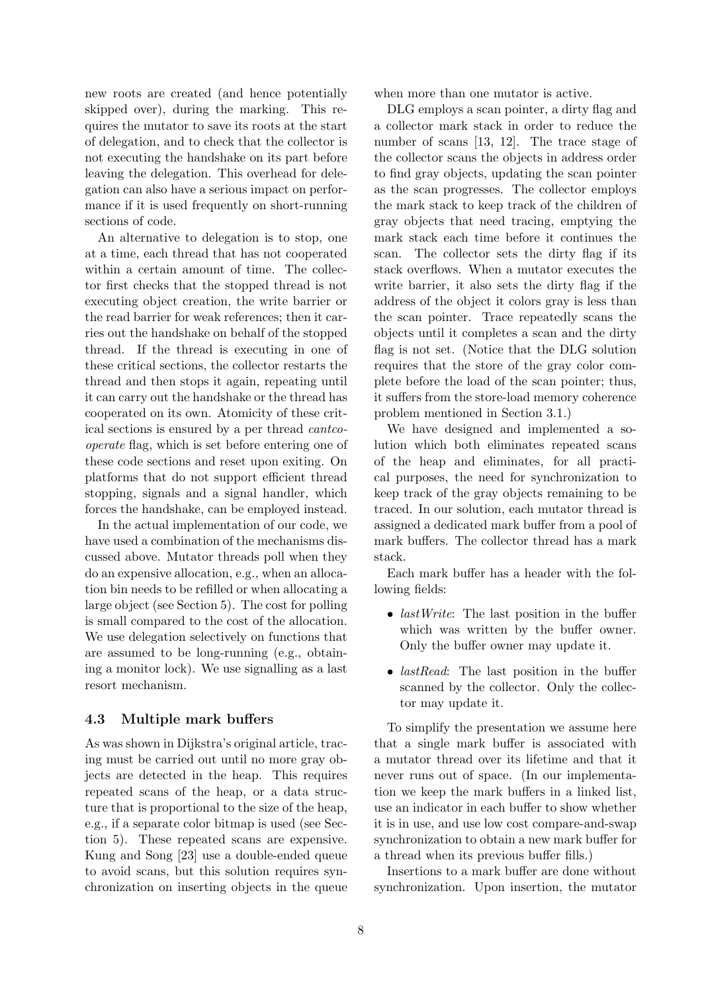new roots are created (and hence potentially skipped over), during the marking. This requires the mutator to save its roots at the start of delegation, and to check that the collector is not executing the handshake on its part before leaving the delegation. This overhead for delegation can also have a serious impact on performance if it is used frequently on short-running sections of code.

An alternative to delegation is to stop, one at a time, each thread that has not cooperated within a certain amount of time. The collector first checks that the stopped thread is not executing object creation, the write barrier or the read barrier for weak references; then it carries out the handshake on behalf of the stopped thread. If the thread is executing in one of these critical sections, the collector restarts the thread and then stops it again, repeating until it can carry out the handshake or the thread has cooperated on its own. Atomicity of these critical sections is ensured by a per thread cantcooperate flag, which is set before entering one of these code sections and reset upon exiting. On platforms that do not support efficient thread stopping, signals and a signal handler, which forces the handshake, can be employed instead.

In the actual implementation of our code, we have used a combination of the mechanisms discussed above. Mutator threads poll when they do an expensive allocation, e.g., when an allocation bin needs to be refilled or when allocating a large object (see Section 5). The cost for polling is small compared to the cost of the allocation. We use delegation selectively on functions that are assumed to be long-running (e.g., obtaining a monitor lock). We use signalling as a last resort mechanism.

#### 4.3 Multiple mark buffers

As was shown in Dijkstra's original article, tracing must be carried out until no more gray objects are detected in the heap. This requires repeated scans of the heap, or a data structure that is proportional to the size of the heap, e.g., if a separate color bitmap is used (see Section 5). These repeated scans are expensive. Kung and Song [23] use a double-ended queue to avoid scans, but this solution requires synchronization on inserting objects in the queue when more than one mutator is active.

DLG employs a scan pointer, a dirty flag and a collector mark stack in order to reduce the number of scans [13, 12]. The trace stage of the collector scans the objects in address order to find gray objects, updating the scan pointer as the scan progresses. The collector employs the mark stack to keep track of the children of gray objects that need tracing, emptying the mark stack each time before it continues the scan. The collector sets the dirty flag if its stack overflows. When a mutator executes the write barrier, it also sets the dirty flag if the address of the object it colors gray is less than the scan pointer. Trace repeatedly scans the objects until it completes a scan and the dirty flag is not set. (Notice that the DLG solution requires that the store of the gray color complete before the load of the scan pointer; thus, it suffers from the store-load memory coherence problem mentioned in Section 3.1.)

We have designed and implemented a solution which both eliminates repeated scans of the heap and eliminates, for all practical purposes, the need for synchronization to keep track of the gray objects remaining to be traced. In our solution, each mutator thread is assigned a dedicated mark buffer from a pool of mark buffers. The collector thread has a mark stack.

Each mark buffer has a header with the following fields:

- *lastWrite*: The last position in the buffer which was written by the buffer owner. Only the buffer owner may update it.
- *lastRead*: The last position in the buffer scanned by the collector. Only the collector may update it.

To simplify the presentation we assume here that a single mark buffer is associated with a mutator thread over its lifetime and that it never runs out of space. (In our implementation we keep the mark buffers in a linked list, use an indicator in each buffer to show whether it is in use, and use low cost compare-and-swap synchronization to obtain a new mark buffer for a thread when its previous buffer fills.)

Insertions to a mark buffer are done without synchronization. Upon insertion, the mutator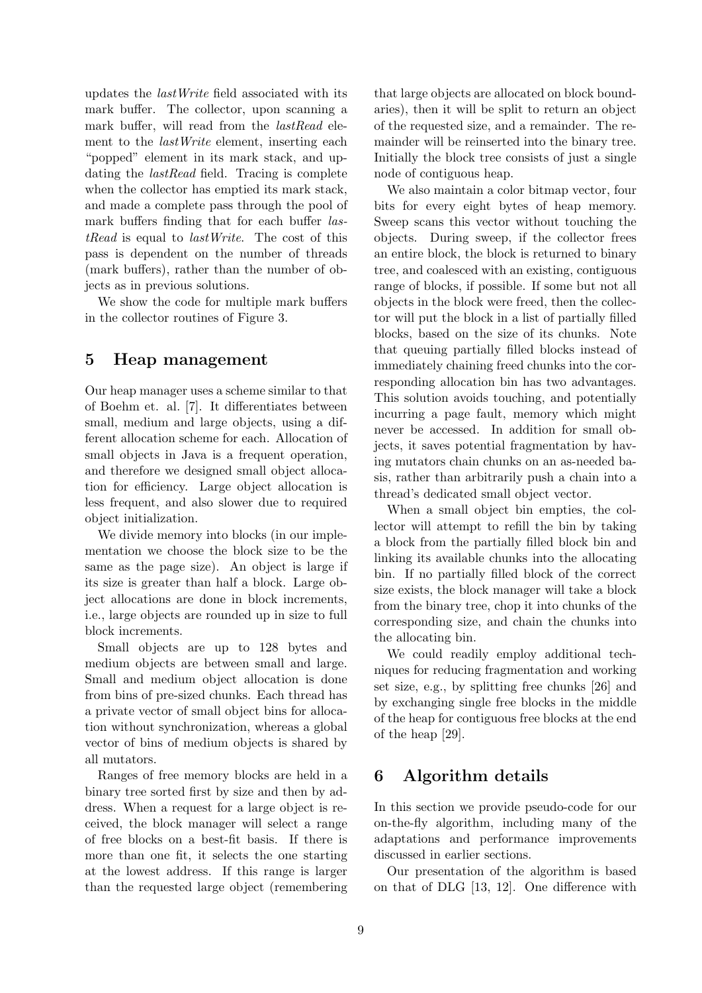updates the lastWrite field associated with its mark buffer. The collector, upon scanning a mark buffer, will read from the *lastRead* element to the lastWrite element, inserting each "popped" element in its mark stack, and updating the lastRead field. Tracing is complete when the collector has emptied its mark stack, and made a complete pass through the pool of mark buffers finding that for each buffer *las*tRead is equal to lastWrite. The cost of this pass is dependent on the number of threads (mark buffers), rather than the number of objects as in previous solutions.

We show the code for multiple mark buffers in the collector routines of Figure 3.

## 5 Heap management

Our heap manager uses a scheme similar to that of Boehm et. al. [7]. It differentiates between small, medium and large objects, using a different allocation scheme for each. Allocation of small objects in Java is a frequent operation, and therefore we designed small object allocation for efficiency. Large object allocation is less frequent, and also slower due to required object initialization.

We divide memory into blocks (in our implementation we choose the block size to be the same as the page size). An object is large if its size is greater than half a block. Large object allocations are done in block increments, i.e., large objects are rounded up in size to full block increments.

Small objects are up to 128 bytes and medium objects are between small and large. Small and medium object allocation is done from bins of pre-sized chunks. Each thread has a private vector of small object bins for allocation without synchronization, whereas a global vector of bins of medium objects is shared by all mutators.

Ranges of free memory blocks are held in a binary tree sorted first by size and then by address. When a request for a large object is received, the block manager will select a range of free blocks on a best-fit basis. If there is more than one fit, it selects the one starting at the lowest address. If this range is larger than the requested large object (remembering that large objects are allocated on block boundaries), then it will be split to return an object of the requested size, and a remainder. The remainder will be reinserted into the binary tree. Initially the block tree consists of just a single node of contiguous heap.

We also maintain a color bitmap vector, four bits for every eight bytes of heap memory. Sweep scans this vector without touching the objects. During sweep, if the collector frees an entire block, the block is returned to binary tree, and coalesced with an existing, contiguous range of blocks, if possible. If some but not all objects in the block were freed, then the collector will put the block in a list of partially filled blocks, based on the size of its chunks. Note that queuing partially filled blocks instead of immediately chaining freed chunks into the corresponding allocation bin has two advantages. This solution avoids touching, and potentially incurring a page fault, memory which might never be accessed. In addition for small objects, it saves potential fragmentation by having mutators chain chunks on an as-needed basis, rather than arbitrarily push a chain into a thread's dedicated small object vector.

When a small object bin empties, the collector will attempt to refill the bin by taking a block from the partially filled block bin and linking its available chunks into the allocating bin. If no partially filled block of the correct size exists, the block manager will take a block from the binary tree, chop it into chunks of the corresponding size, and chain the chunks into the allocating bin.

We could readily employ additional techniques for reducing fragmentation and working set size, e.g., by splitting free chunks [26] and by exchanging single free blocks in the middle of the heap for contiguous free blocks at the end of the heap [29].

# 6 Algorithm details

In this section we provide pseudo-code for our on-the-fly algorithm, including many of the adaptations and performance improvements discussed in earlier sections.

Our presentation of the algorithm is based on that of DLG [13, 12]. One difference with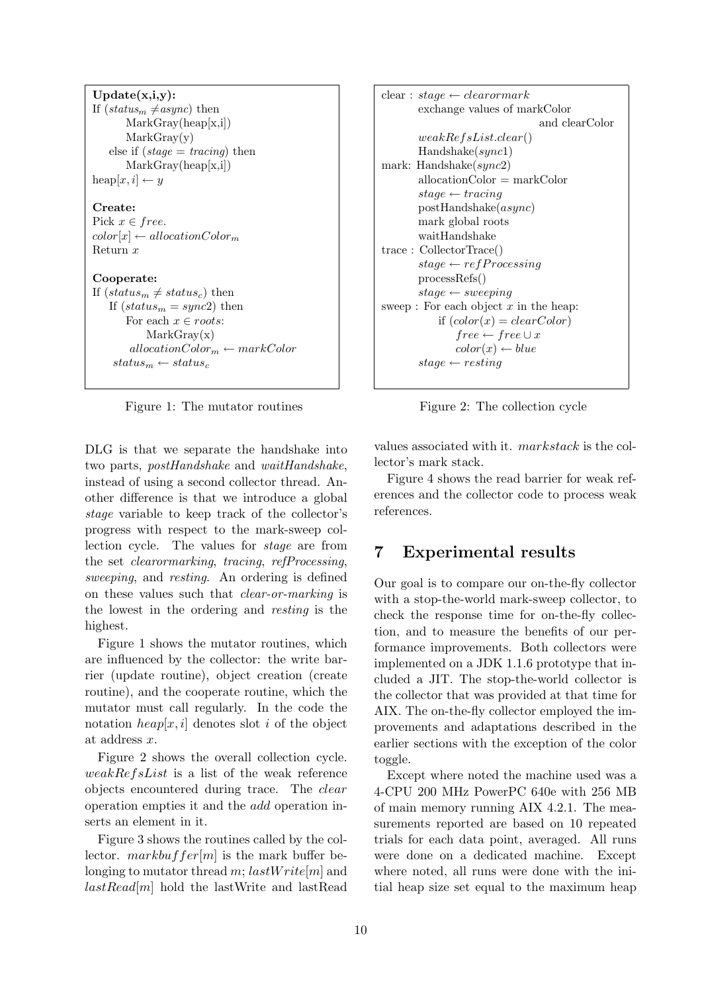| Update(x,i,y):                           |
|------------------------------------------|
| If $(status_m \neq async)$ then          |
| MarkGray(heap[x,i])                      |
| MarkGray(y)                              |
| else if $(stage = tracing)$ then         |
| MarkGray(heap[x,i])                      |
| heap $ x, i  \leftarrow y$               |
| Create:                                  |
| Pick $x \in free$ .                      |
| $color[x] \leftarrow allocationColor_m$  |
| Return $x$                               |
| Cooperate:                               |
| If $(status_m \neq status_c)$ then       |
| If $(status_m = sync2)$ then             |
| For each $x \in roots$ :                 |
| MarkGray(x)                              |
| $allocationColor_m \leftarrow markColor$ |
| $status_m \leftarrow status_c$           |

Figure 1: The mutator routines

DLG is that we separate the handshake into two parts, postHandshake and waitHandshake, instead of using a second collector thread. Another difference is that we introduce a global stage variable to keep track of the collector's progress with respect to the mark-sweep collection cycle. The values for stage are from the set clearormarking, tracing, refProcessing, sweeping, and resting. An ordering is defined on these values such that clear-or-marking is the lowest in the ordering and resting is the highest.

Figure 1 shows the mutator routines, which are influenced by the collector: the write barrier (update routine), object creation (create routine), and the cooperate routine, which the mutator must call regularly. In the code the notation  $heap[x, i]$  denotes slot *i* of the object at address x.

Figure 2 shows the overall collection cycle. weakRefsList is a list of the weak reference objects encountered during trace. The clear operation empties it and the add operation inserts an element in it.

Figure 3 shows the routines called by the collector.  $markbuffer[m]$  is the mark buffer belonging to mutator thread m;  $lastWrite[m]$  and  $lastRead[m]$  hold the lastWrite and lastRead

| clear: $stage \leftarrow clearormark$       |
|---------------------------------------------|
| exchange values of markColor                |
| and clearColor                              |
| weak RefsList.clear()                       |
| Handshake(sync1)                            |
| mark: Handshake( $sync2$ )                  |
| $\text{allocationColor} = \text{markColor}$ |
| $stage \leftarrow tracing$                  |
| postHandshake(async)                        |
| mark global roots                           |
| waitHandshake                               |
| trace: CollectorTrace()                     |
| $stage \leftarrow refProcessing$            |
| processRefs()                               |
| $stage \leftarrow sweeping$                 |
| sweep : For each object $x$ in the heap:    |
| if $(color(x) = clearColor)$                |
| $free \leftarrow free \cup x$               |
| $color(x) \leftarrow blue$                  |
| $stage \leftarrow resting$                  |
|                                             |

Figure 2: The collection cycle

values associated with it. markstack is the collector's mark stack.

Figure 4 shows the read barrier for weak references and the collector code to process weak references.

# 7 Experimental results

Our goal is to compare our on-the-fly collector with a stop-the-world mark-sweep collector, to check the response time for on-the-fly collection, and to measure the benefits of our performance improvements. Both collectors were implemented on a JDK 1.1.6 prototype that included a JIT. The stop-the-world collector is the collector that was provided at that time for AIX. The on-the-fly collector employed the improvements and adaptations described in the earlier sections with the exception of the color toggle.

Except where noted the machine used was a 4-CPU 200 MHz PowerPC 640e with 256 MB of main memory running AIX 4.2.1. The measurements reported are based on 10 repeated trials for each data point, averaged. All runs were done on a dedicated machine. Except where noted, all runs were done with the initial heap size set equal to the maximum heap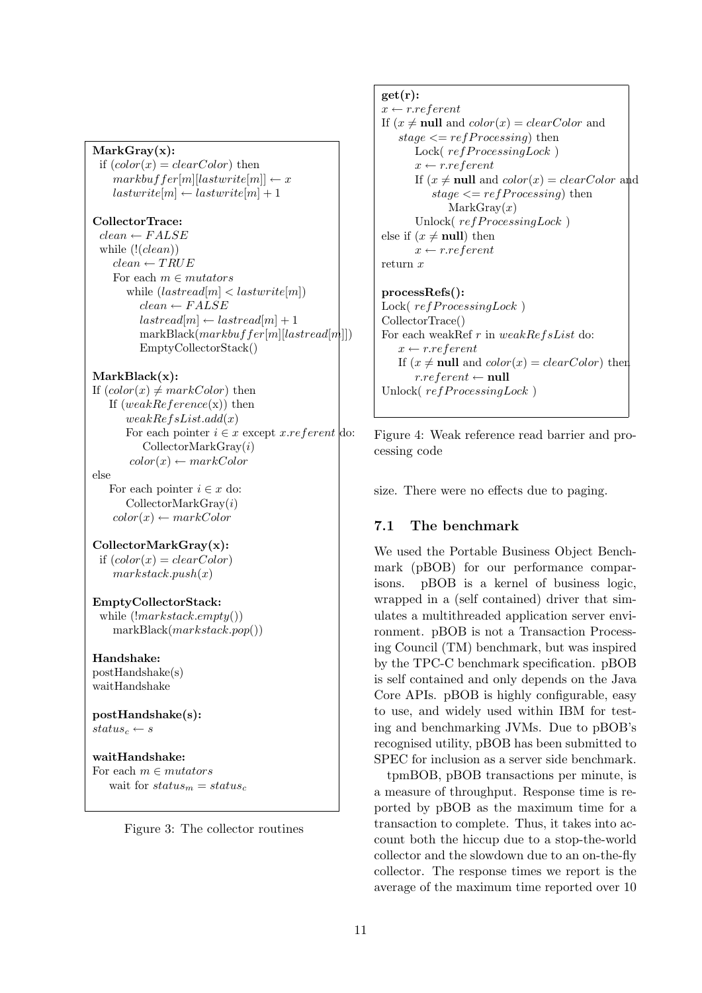MarkGray(x):

if  $(color(x) = clearColor)$  then  $markbuffer[m][lastwrite[m]] \leftarrow x$  $lastwrite[m] \leftarrow lastwrite[m] + 1$ 

#### CollectorTrace:

 $clean \leftarrow FALSE$ while  $(l(clean))$  $clean \leftarrow TRUE$ For each  $m \in mutators$ while  $(lastread[m] < lastwrite[m])$  $clean \leftarrow FALSE$  $lastread[m] \leftarrow lastread[m] + 1$  $\text{markBlack}(markbuffer[m][lastread[m]])$ EmptyCollectorStack()

### MarkBlack(x):

If  $(color(x) \neq markColor)$  then If  $(weakReference(x))$  then  $weakRefsList.add(x)$ For each pointer  $i \in x$  except x.referent do:  $CollectorMarkGray(i)$  $color(x) \leftarrow markColor$ else For each pointer  $i \in x$  do:  $CollectorMarkGray(i)$ 

 $color(x) \leftarrow markColor$ 

## CollectorMarkGray(x):

if  $\text{color}(x) = clearColor$  $markstack.push(x)$ 

### EmptyCollectorStack:

while  $(!markstack.empty()$ markBlack(markstack.pop())

### Handshake:

postHandshake(s) waitHandshake

postHandshake(s):  $status_c \leftarrow s$ 

waitHandshake: For each  $m \in mutators$ wait for  $status_m = status_c$ 



## $get(r):$

 $x \leftarrow r.$ referent If  $(x \neq \text{null}$  and  $color(x) = clearColor$  and stage  $\leq r$ ef Processing) then Lock( $refProcessingLock$ )  $x \leftarrow r.\text{referent}$ If  $(x \neq \text{null}$  and  $color(x) = clearColor$  and stage  $\leq r$ ef Processing) then  $MarkGray(x)$ Unlock( $refProcessingLock$ ) else if  $(x \neq \text{null})$  then  $x \leftarrow r.referent$ return  $x$ 

#### processRefs():

Lock( $refProcessingLock$ ) CollectorTrace() For each weakRef  $r$  in  $weakRefsList$  do:  $x \leftarrow r.\mathit{referent}$ If  $(x \neq \text{null}$  and  $color(x) = clearColor)$  then  $r.referent \leftarrow null$ Unlock( $refProcessingLock$ )

### Figure 4: Weak reference read barrier and processing code

size. There were no effects due to paging.

## 7.1 The benchmark

We used the Portable Business Object Benchmark (pBOB) for our performance comparisons. pBOB is a kernel of business logic, wrapped in a (self contained) driver that simulates a multithreaded application server environment. pBOB is not a Transaction Processing Council (TM) benchmark, but was inspired by the TPC-C benchmark specification. pBOB is self contained and only depends on the Java Core APIs. pBOB is highly configurable, easy to use, and widely used within IBM for testing and benchmarking JVMs. Due to pBOB's recognised utility, pBOB has been submitted to SPEC for inclusion as a server side benchmark.

tpmBOB, pBOB transactions per minute, is a measure of throughput. Response time is reported by pBOB as the maximum time for a transaction to complete. Thus, it takes into account both the hiccup due to a stop-the-world collector and the slowdown due to an on-the-fly collector. The response times we report is the average of the maximum time reported over 10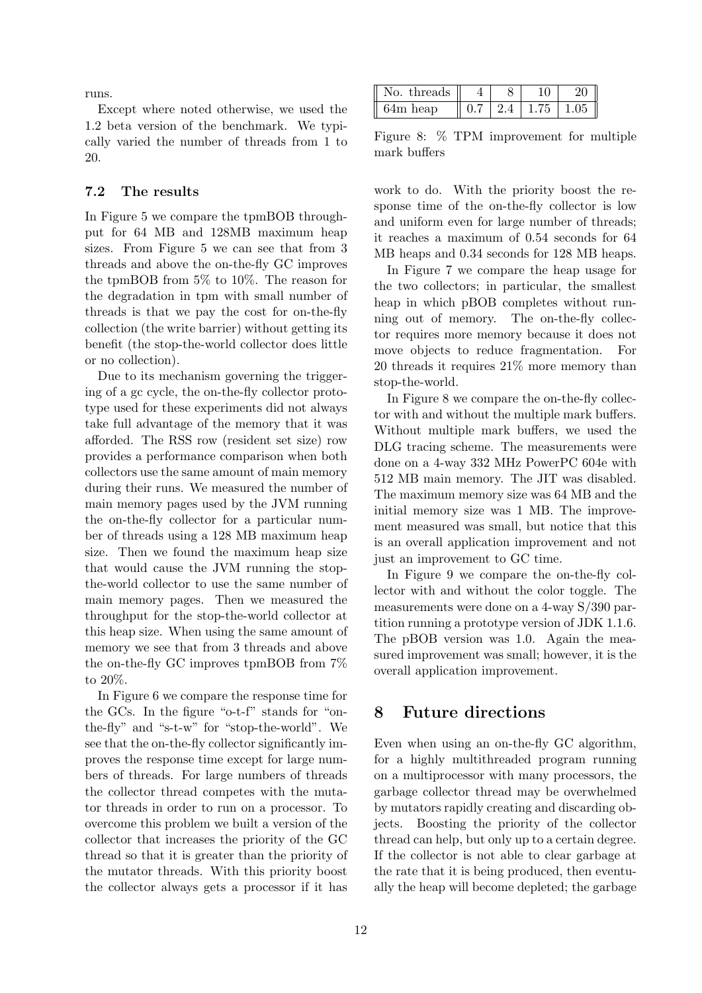runs.

Except where noted otherwise, we used the 1.2 beta version of the benchmark. We typically varied the number of threads from 1 to 20.

### 7.2 The results

In Figure 5 we compare the tpmBOB throughput for 64 MB and 128MB maximum heap sizes. From Figure 5 we can see that from 3 threads and above the on-the-fly GC improves the tpmBOB from 5% to 10%. The reason for the degradation in tpm with small number of threads is that we pay the cost for on-the-fly collection (the write barrier) without getting its benefit (the stop-the-world collector does little or no collection).

Due to its mechanism governing the triggering of a gc cycle, the on-the-fly collector prototype used for these experiments did not always take full advantage of the memory that it was afforded. The RSS row (resident set size) row provides a performance comparison when both collectors use the same amount of main memory during their runs. We measured the number of main memory pages used by the JVM running the on-the-fly collector for a particular number of threads using a 128 MB maximum heap size. Then we found the maximum heap size that would cause the JVM running the stopthe-world collector to use the same number of main memory pages. Then we measured the throughput for the stop-the-world collector at this heap size. When using the same amount of memory we see that from 3 threads and above the on-the-fly GC improves tpmBOB from 7% to 20%.

In Figure 6 we compare the response time for the GCs. In the figure "o-t-f" stands for "onthe-fly" and "s-t-w" for "stop-the-world". We see that the on-the-fly collector significantly improves the response time except for large numbers of threads. For large numbers of threads the collector thread competes with the mutator threads in order to run on a processor. To overcome this problem we built a version of the collector that increases the priority of the GC thread so that it is greater than the priority of the mutator threads. With this priority boost the collector always gets a processor if it has

| No. threads $\parallel$ |  | 10 | 20                                  |
|-------------------------|--|----|-------------------------------------|
| $64m$ heap              |  |    | $\parallel$ 0.7   2.4   1.75   1.05 |

Figure 8: % TPM improvement for multiple mark buffers

work to do. With the priority boost the response time of the on-the-fly collector is low and uniform even for large number of threads; it reaches a maximum of 0.54 seconds for 64 MB heaps and  $0.34$  seconds for 128 MB heaps.

In Figure 7 we compare the heap usage for the two collectors; in particular, the smallest heap in which pBOB completes without running out of memory. The on-the-fly collector requires more memory because it does not move objects to reduce fragmentation. For 20 threads it requires 21% more memory than stop-the-world.

In Figure 8 we compare the on-the-fly collector with and without the multiple mark buffers. Without multiple mark buffers, we used the DLG tracing scheme. The measurements were done on a 4-way 332 MHz PowerPC 604e with 512 MB main memory. The JIT was disabled. The maximum memory size was 64 MB and the initial memory size was 1 MB. The improvement measured was small, but notice that this is an overall application improvement and not just an improvement to GC time.

In Figure 9 we compare the on-the-fly collector with and without the color toggle. The measurements were done on a 4-way S/390 partition running a prototype version of JDK 1.1.6. The pBOB version was 1.0. Again the measured improvement was small; however, it is the overall application improvement.

# 8 Future directions

Even when using an on-the-fly GC algorithm, for a highly multithreaded program running on a multiprocessor with many processors, the garbage collector thread may be overwhelmed by mutators rapidly creating and discarding objects. Boosting the priority of the collector thread can help, but only up to a certain degree. If the collector is not able to clear garbage at the rate that it is being produced, then eventually the heap will become depleted; the garbage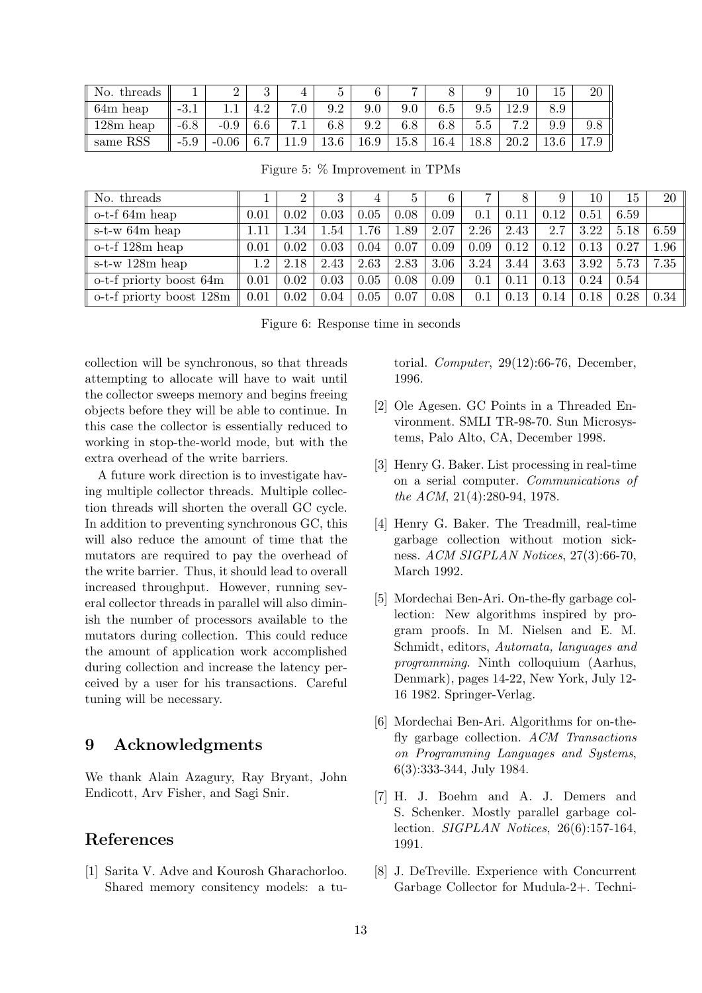| $\parallel$ No. threads |        |         |         |                                     |      |      |      |      |      |      |      | 20  |
|-------------------------|--------|---------|---------|-------------------------------------|------|------|------|------|------|------|------|-----|
| $\parallel$ 64m heap    | $-9.1$ | 1. L    | 4.4     | 7.0                                 | 9.2  | 9.0  | 9.0  | 6.5  | 9.5  | 12.9 | 8.9  |     |
| 128m heap               | -6.8   | $-0.9$  | $6.6\,$ | 71<br>$\mathbf{I} \cdot \mathbf{I}$ | 6.8  | 9.2  | 6.8  | 6.8  | 5.5  | 79   |      | 9.8 |
| same RSS                | $-5.9$ | $-0.06$ | 6.7     | 11.9                                | 13.6 | 16.9 | 15.8 | 16.4 | 18.8 | 20.2 | 13.6 |     |

Figure 5: % Improvement in TPMs

| No. threads              |                                         |      | ച    |      |      | 6    |      |      |      | 10   | 15   | 20   |
|--------------------------|-----------------------------------------|------|------|------|------|------|------|------|------|------|------|------|
| o-t-f 64m heap           | $\rm 0.01$                              | 0.02 | 0.03 | 0.05 | 0.08 | 0.09 | 0.1  | 0.11 | 0.12 | 0.51 | 6.59 |      |
| $s$ -t-w 64m heap        |                                         | 1.34 | 1.54 | 1.76 | 1.89 | 2.07 | 2.26 | 2.43 | 2.7  | 3.22 | 5.18 | 6.59 |
| $o-t-f$ 128 $m$ heap     | $\rm 0.01$                              | 0.02 | 0.03 | 0.04 | 0.07 | 0.09 | 0.09 | 0.12 | 0.12 | 0.13 | 0.27 | 1.96 |
| $s$ -t-w $128m$ heap     | 1.2                                     | 2.18 | 2.43 | 2.63 | 2.83 | 3.06 | 3.24 | 3.44 | 3.63 | 3.92 | 5.73 | 7.35 |
| o-t-f priorty boost 64m  | 0.01<br>Ш                               | 0.02 | 0.03 | 0.05 | 0.08 | 0.09 | 0.1  | 0.11 | 0.13 | 0.24 | 0.54 |      |
| o-t-f priorty boost 128m | 0.01<br>$\mathbf{\mathbf{\mathsf{II}}}$ | 0.02 | 0.04 | 0.05 | 0.07 | 0.08 | 0.1  | 0.13 | 0.14 | 0.18 | 0.28 | 0.34 |

Figure 6: Response time in seconds

collection will be synchronous, so that threads attempting to allocate will have to wait until the collector sweeps memory and begins freeing objects before they will be able to continue. In this case the collector is essentially reduced to working in stop-the-world mode, but with the extra overhead of the write barriers.

A future work direction is to investigate having multiple collector threads. Multiple collection threads will shorten the overall GC cycle. In addition to preventing synchronous GC, this will also reduce the amount of time that the mutators are required to pay the overhead of the write barrier. Thus, it should lead to overall increased throughput. However, running several collector threads in parallel will also diminish the number of processors available to the mutators during collection. This could reduce the amount of application work accomplished during collection and increase the latency perceived by a user for his transactions. Careful tuning will be necessary.

## 9 Acknowledgments

We thank Alain Azagury, Ray Bryant, John Endicott, Arv Fisher, and Sagi Snir.

## References

[1] Sarita V. Adve and Kourosh Gharachorloo. Shared memory consitency models: a tu-

torial. Computer, 29(12):66-76, December, 1996.

- [2] Ole Agesen. GC Points in a Threaded Environment. SMLI TR-98-70. Sun Microsystems, Palo Alto, CA, December 1998.
- [3] Henry G. Baker. List processing in real-time on a serial computer. Communications of the ACM, 21(4):280-94, 1978.
- [4] Henry G. Baker. The Treadmill, real-time garbage collection without motion sickness. ACM SIGPLAN Notices, 27(3):66-70, March 1992.
- [5] Mordechai Ben-Ari. On-the-fly garbage collection: New algorithms inspired by program proofs. In M. Nielsen and E. M. Schmidt, editors, Automata, languages and programming. Ninth colloquium (Aarhus, Denmark), pages 14-22, New York, July 12- 16 1982. Springer-Verlag.
- [6] Mordechai Ben-Ari. Algorithms for on-thefly garbage collection. ACM Transactions on Programming Languages and Systems, 6(3):333-344, July 1984.
- [7] H. J. Boehm and A. J. Demers and S. Schenker. Mostly parallel garbage collection. SIGPLAN Notices, 26(6):157-164, 1991.
- [8] J. DeTreville. Experience with Concurrent Garbage Collector for Mudula-2+. Techni-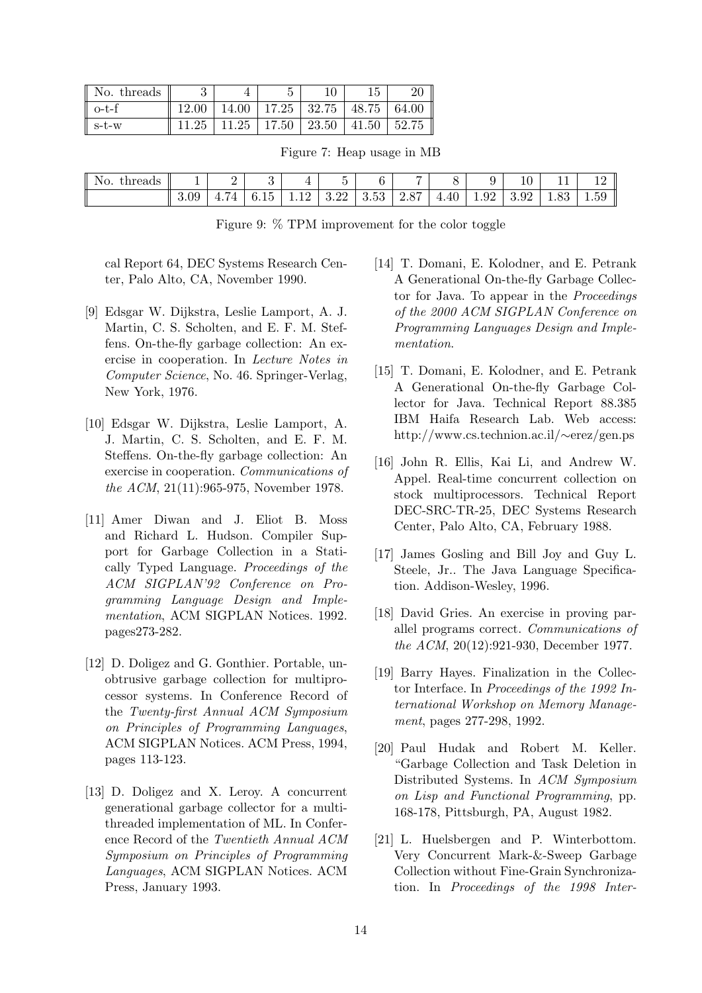| No. threads |       |                 | $\tilde{}$                    |       | ГP    |       |
|-------------|-------|-----------------|-------------------------------|-------|-------|-------|
| o-t-f       |       |                 | $14.00 \mid 17.25 \mid 32.75$ |       | 48.75 | 64.00 |
| s-t-w       | 11.25 | $11.25$   17.50 |                               | 23.50 | 41.50 | 52.75 |

Figure 7: Heap usage in MB

| NO.<br>hreads: | -    | -                                | IJ                                                | <b>.</b>   | $\sim$                 |      |                  |                        |      | ΠU   | <b>. .</b>       | --   |
|----------------|------|----------------------------------|---------------------------------------------------|------------|------------------------|------|------------------|------------------------|------|------|------------------|------|
|                | 3.09 | $\overline{\phantom{a}}$<br>4.74 | $\rightarrow$<br>$\overline{a}$<br>$\sim$<br>∪.⊥∪ | 19<br>1.IA | ററ<br>$\Omega$<br>0.44 | 3.53 | 2.87<br>$\Omega$ | 4.40<br>$\overline{4}$ | 1.92 | 3.92 | $\Omega$<br>1.OO | 1.59 |

Figure 9: % TPM improvement for the color toggle

cal Report 64, DEC Systems Research Center, Palo Alto, CA, November 1990.

- [9] Edsgar W. Dijkstra, Leslie Lamport, A. J. Martin, C. S. Scholten, and E. F. M. Steffens. On-the-fly garbage collection: An exercise in cooperation. In Lecture Notes in Computer Science, No. 46. Springer-Verlag, New York, 1976.
- [10] Edsgar W. Dijkstra, Leslie Lamport, A. J. Martin, C. S. Scholten, and E. F. M. Steffens. On-the-fly garbage collection: An exercise in cooperation. Communications of the ACM, 21(11):965-975, November 1978.
- [11] Amer Diwan and J. Eliot B. Moss and Richard L. Hudson. Compiler Support for Garbage Collection in a Statically Typed Language. Proceedings of the ACM SIGPLAN'92 Conference on Programming Language Design and Implementation, ACM SIGPLAN Notices. 1992. pages273-282.
- [12] D. Doligez and G. Gonthier. Portable, unobtrusive garbage collection for multiprocessor systems. In Conference Record of the Twenty-first Annual ACM Symposium on Principles of Programming Languages, ACM SIGPLAN Notices. ACM Press, 1994, pages 113-123.
- [13] D. Doligez and X. Leroy. A concurrent generational garbage collector for a multithreaded implementation of ML. In Conference Record of the Twentieth Annual ACM Symposium on Principles of Programming Languages, ACM SIGPLAN Notices. ACM Press, January 1993.
- [14] T. Domani, E. Kolodner, and E. Petrank A Generational On-the-fly Garbage Collector for Java. To appear in the Proceedings of the 2000 ACM SIGPLAN Conference on Programming Languages Design and Implementation.
- [15] T. Domani, E. Kolodner, and E. Petrank A Generational On-the-fly Garbage Collector for Java. Technical Report 88.385 IBM Haifa Research Lab. Web access: http://www.cs.technion.ac.il/∼erez/gen.ps
- [16] John R. Ellis, Kai Li, and Andrew W. Appel. Real-time concurrent collection on stock multiprocessors. Technical Report DEC-SRC-TR-25, DEC Systems Research Center, Palo Alto, CA, February 1988.
- [17] James Gosling and Bill Joy and Guy L. Steele, Jr.. The Java Language Specification. Addison-Wesley, 1996.
- [18] David Gries. An exercise in proving parallel programs correct. Communications of the ACM, 20(12):921-930, December 1977.
- [19] Barry Hayes. Finalization in the Collector Interface. In Proceedings of the 1992 International Workshop on Memory Management, pages 277-298, 1992.
- [20] Paul Hudak and Robert M. Keller. "Garbage Collection and Task Deletion in Distributed Systems. In ACM Symposium on Lisp and Functional Programming, pp. 168-178, Pittsburgh, PA, August 1982.
- [21] L. Huelsbergen and P. Winterbottom. Very Concurrent Mark-&-Sweep Garbage Collection without Fine-Grain Synchronization. In Proceedings of the 1998 Inter-